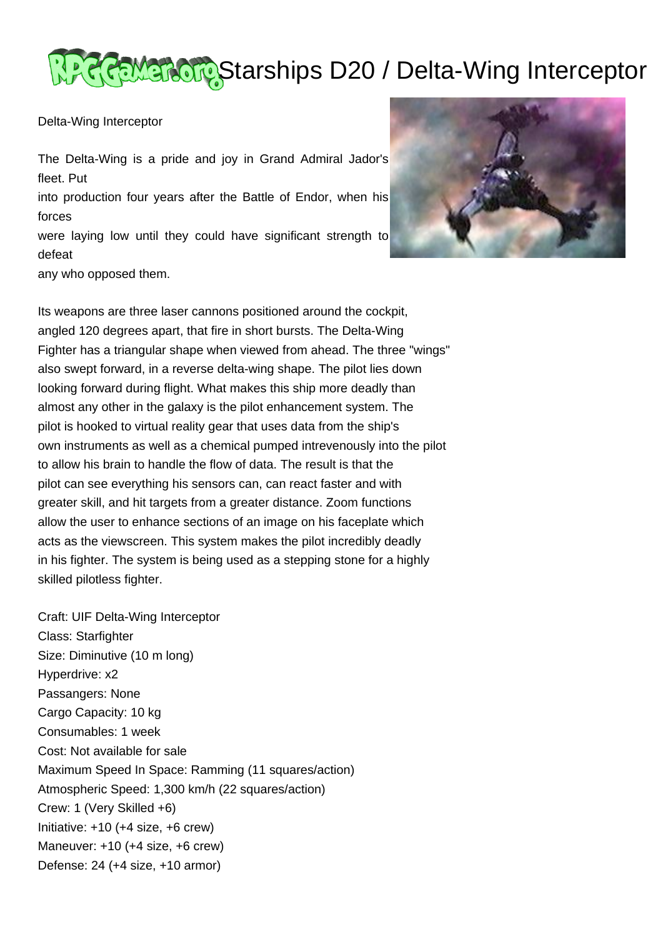## Starships D20 / Delta-Wing Interceptor

Delta-Wing Interceptor

The Delta-Wing is a pride and joy in Grand Admiral Jador's fleet. Put

into production four years after the Battle of Endor, when his forces

were laying low until they could have significant strength to defeat

any who opposed them.



Its weapons are three laser cannons positioned around the cockpit, angled 120 degrees apart, that fire in short bursts. The Delta-Wing Fighter has a triangular shape when viewed from ahead. The three "wings" also swept forward, in a reverse delta-wing shape. The pilot lies down looking forward during flight. What makes this ship more deadly than almost any other in the galaxy is the pilot enhancement system. The pilot is hooked to virtual reality gear that uses data from the ship's own instruments as well as a chemical pumped intrevenously into the pilot to allow his brain to handle the flow of data. The result is that the pilot can see everything his sensors can, can react faster and with greater skill, and hit targets from a greater distance. Zoom functions allow the user to enhance sections of an image on his faceplate which acts as the viewscreen. This system makes the pilot incredibly deadly in his fighter. The system is being used as a stepping stone for a highly skilled pilotless fighter.

Craft: UIF Delta-Wing Interceptor Class: Starfighter Size: Diminutive (10 m long) Hyperdrive: x2 Passangers: None Cargo Capacity: 10 kg Consumables: 1 week Cost: Not available for sale Maximum Speed In Space: Ramming (11 squares/action) Atmospheric Speed: 1,300 km/h (22 squares/action) Crew: 1 (Very Skilled +6) Initiative: +10 (+4 size, +6 crew) Maneuver: +10 (+4 size, +6 crew) Defense: 24 (+4 size, +10 armor)